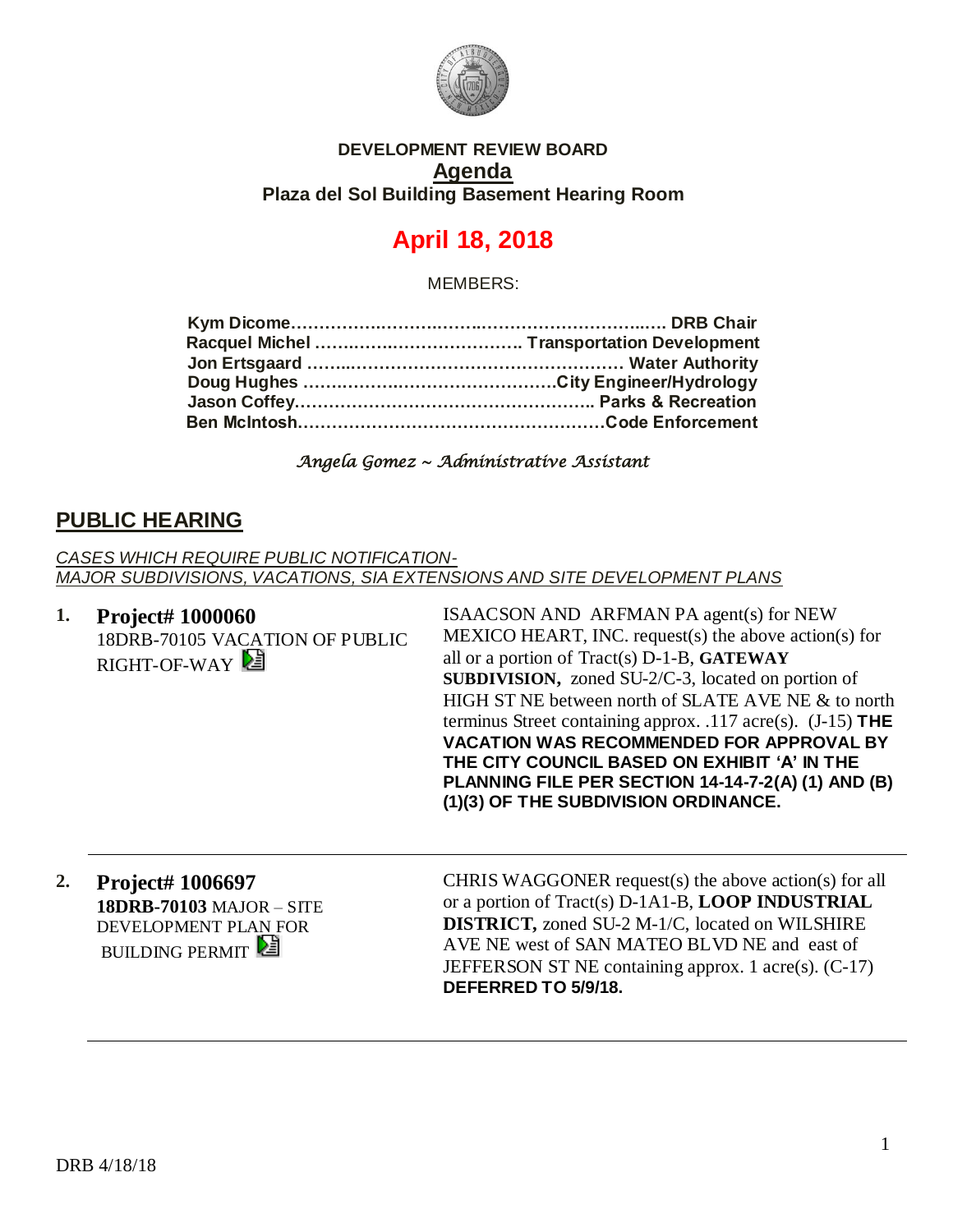

### **DEVELOPMENT REVIEW BOARD Agenda Plaza del Sol Building Basement Hearing Room**

# **April 18, 2018**

MEMBERS:

*Angela Gomez ~ Administrative Assistant* 

# **PUBLIC HEARING**

*CASES WHICH REQUIRE PUBLIC NOTIFICATION-MAJOR SUBDIVISIONS, VACATIONS, SIA EXTENSIONS AND SITE DEVELOPMENT PLANS*

**1. Project# 1000060** 18DRB-70105 VACATION OF PUBLIC RIGHT-OF-WAY

ISAACSON AND ARFMAN PA agent(s) for NEW MEXICO HEART, INC. request(s) the above action(s) for all or a portion of Tract(s) D-1-B, **GATEWAY SUBDIVISION,** zoned SU-2/C-3, located on portion of HIGH ST NE between north of SLATE AVE NE & to north terminus Street containing approx. .117 acre(s). (J-15) **THE VACATION WAS RECOMMENDED FOR APPROVAL BY THE CITY COUNCIL BASED ON EXHIBIT 'A' IN THE PLANNING FILE PER SECTION 14-14-7-2(A) (1) AND (B) (1)(3) OF THE SUBDIVISION ORDINANCE.**

**2. Project# 1006697 18DRB-70103** MAJOR – SITE DEVELOPMENT PLAN FOR **BUILDING PERMIT** 

CHRIS WAGGONER request(s) the above action(s) for all or a portion of Tract(s) D-1A1-B, **LOOP INDUSTRIAL DISTRICT,** zoned SU-2 M-1/C, located on WILSHIRE AVE NE west of SAN MATEO BLVD NE and east of JEFFERSON ST NE containing approx. 1 acre(s). (C-17) **DEFERRED TO 5/9/18.**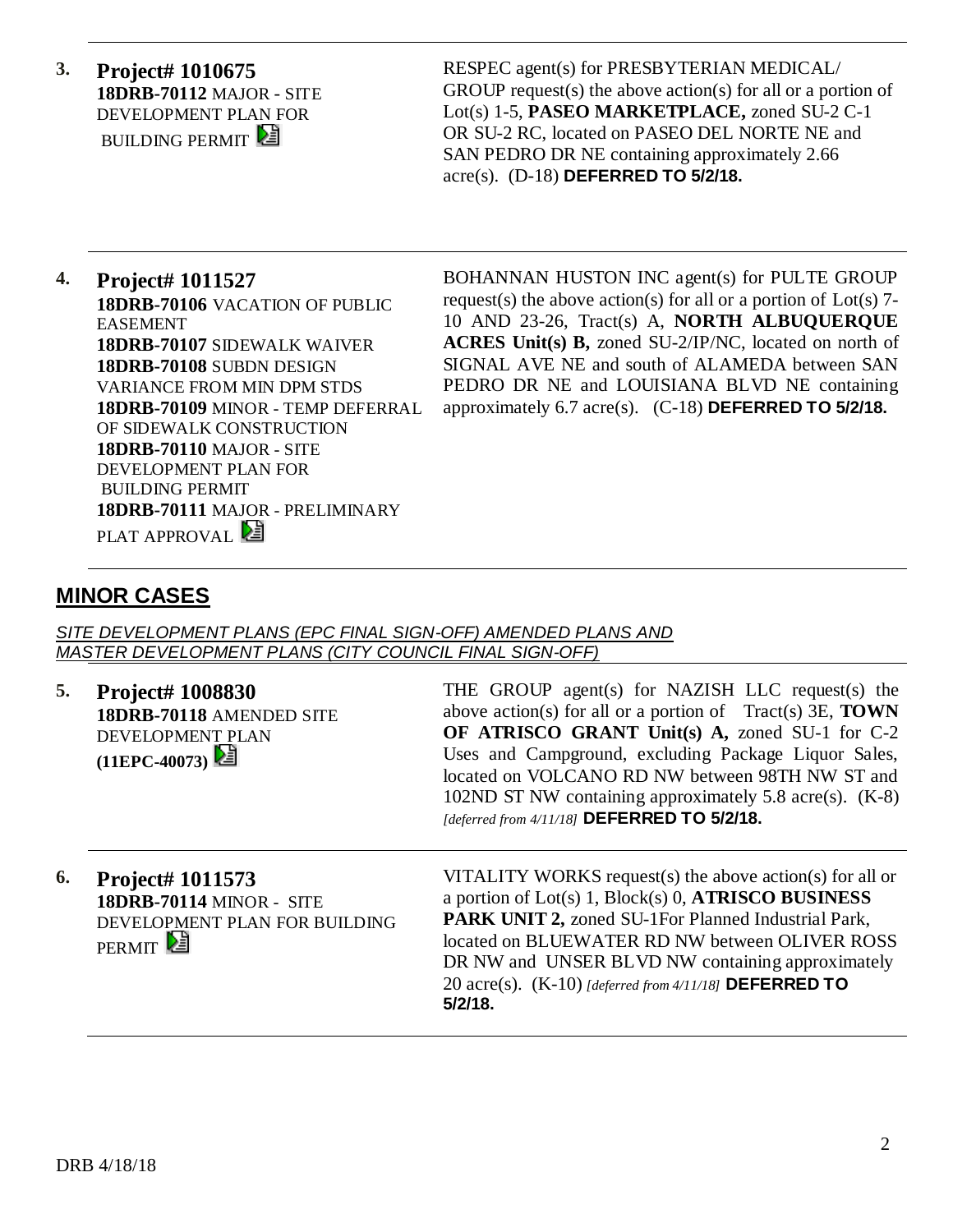**3. Project# 1010675 18DRB-70112** MAJOR - SITE DEVELOPMENT PLAN FOR **BUILDING PERMIT** 

RESPEC agent(s) for PRESBYTERIAN MEDICAL/ GROUP request(s) the above action(s) for all or a portion of Lot(s) 1-5, **PASEO MARKETPLACE,** zoned SU-2 C-1 OR SU-2 RC, located on PASEO DEL NORTE NE and SAN PEDRO DR NE containing approximately 2.66 acre(s). (D-18) **DEFERRED TO 5/2/18.**

#### **4. Project# 1011527 18DRB-70106** VACATION OF PUBLIC EASEMENT **18DRB-70107** SIDEWALK WAIVER **18DRB-70108** SUBDN DESIGN VARIANCE FROM MIN DPM STDS **18DRB-70109** MINOR - TEMP DEFERRAL OF SIDEWALK CONSTRUCTION **18DRB-70110** MAJOR - SITE DEVELOPMENT PLAN FOR BUILDING PERMIT **18DRB-70111** MAJOR - PRELIMINARY PLAT APPROVAL

BOHANNAN HUSTON INC agent(s) for PULTE GROUP request(s) the above action(s) for all or a portion of  $Lot(s)$  7-10 AND 23-26, Tract(s) A, **NORTH ALBUQUERQUE ACRES Unit(s) B,** zoned SU-2/IP/NC, located on north of SIGNAL AVE NE and south of ALAMEDA between SAN PEDRO DR NE and LOUISIANA BLVD NE containing approximately 6.7 acre(s). (C-18) **DEFERRED TO 5/2/18.** 

# **MINOR CASES**

*SITE DEVELOPMENT PLANS (EPC FINAL SIGN-OFF) AMENDED PLANS AND MASTER DEVELOPMENT PLANS (CITY COUNCIL FINAL SIGN-OFF)*

**5. Project# 1008830 18DRB-70118** AMENDED SITE DEVELOPMENT PLAN **(11EPC-40073)** 

THE GROUP agent(s) for NAZISH LLC request(s) the above action(s) for all or a portion of Tract(s) 3E, **TOWN OF ATRISCO GRANT Unit(s) A,** zoned SU-1 for C-2 Uses and Campground, excluding Package Liquor Sales, located on VOLCANO RD NW between 98TH NW ST and 102ND ST NW containing approximately 5.8 acre(s). (K-8) *[deferred from 4/11/18]* **DEFERRED TO 5/2/18.** 

**6. Project# 1011573 18DRB-70114** MINOR - SITE DEVELOPMENT PLAN FOR BUILDING PERMIT<sup>[24]</sup>

VITALITY WORKS request(s) the above action(s) for all or a portion of Lot(s) 1, Block(s) 0, **ATRISCO BUSINESS PARK UNIT 2,** zoned SU-1For Planned Industrial Park, located on BLUEWATER RD NW between OLIVER ROSS DR NW and UNSER BLVD NW containing approximately 20 acre(s). (K-10) *[deferred from 4/11/18]* **DEFERRED TO 5/2/18.**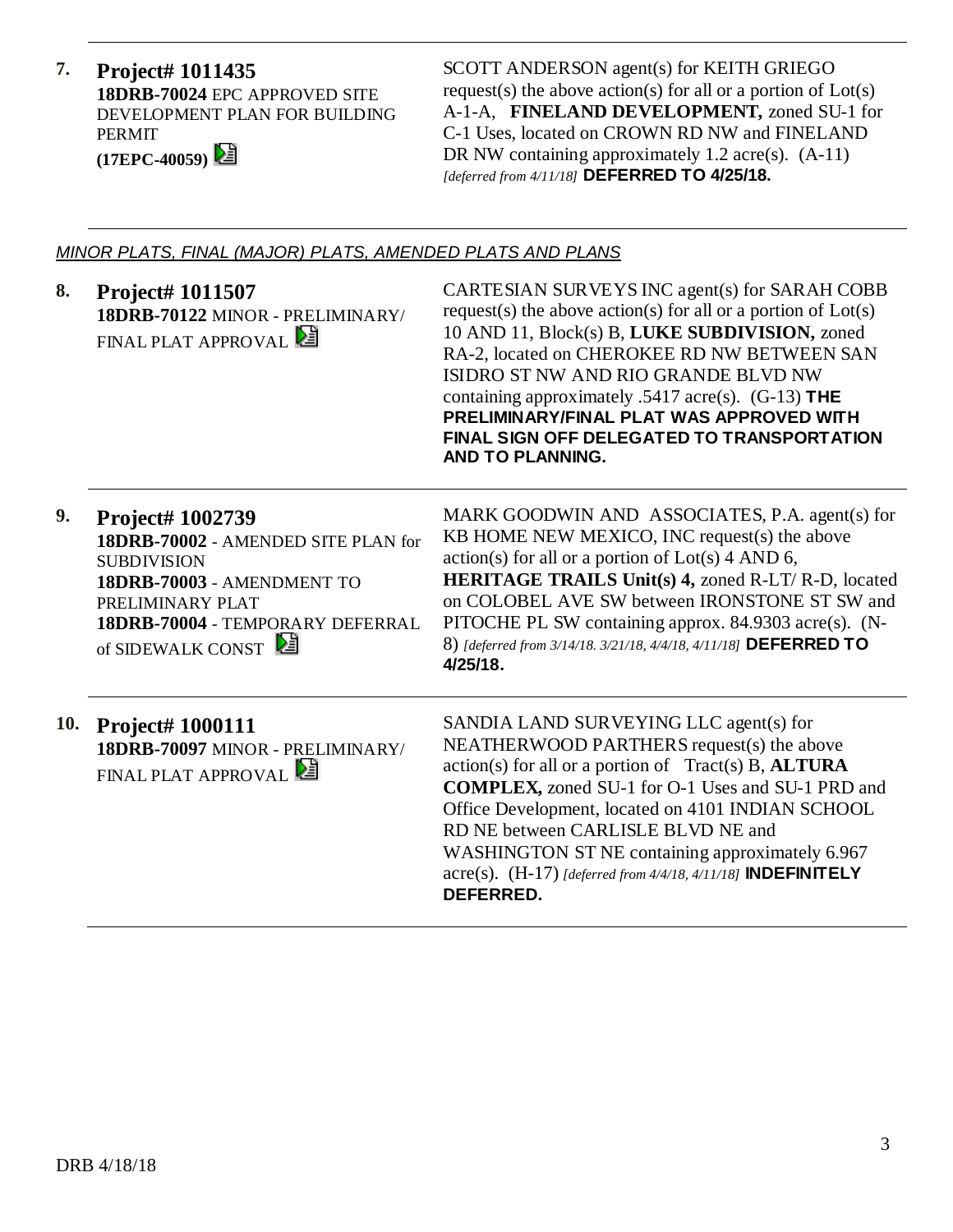**7. Project# 1011435 18DRB-70024** EPC APPROVED SITE DEVELOPMENT PLAN FOR BUILDING PERMIT **(17EPC-40059)** 

SCOTT ANDERSON agent(s) for KEITH GRIEGO request(s) the above action(s) for all or a portion of Lot(s) A-1-A, **FINELAND DEVELOPMENT,** zoned SU-1 for C-1 Uses, located on CROWN RD NW and FINELAND DR NW containing approximately 1.2 acre(s).  $(A-11)$ *[deferred from 4/11/18]* **DEFERRED TO 4/25/18.**

### *MINOR PLATS, FINAL (MAJOR) PLATS, AMENDED PLATS AND PLANS*

| 8.  | <b>Project# 1011507</b><br>18DRB-70122 MINOR - PRELIMINARY/<br>FINAL PLAT APPROVAL                                                                                                       | CARTESIAN SURVEYS INC agent(s) for SARAH COBB<br>request(s) the above action(s) for all or a portion of $Lot(s)$<br>10 AND 11, Block(s) B, LUKE SUBDIVISION, zoned<br>RA-2, located on CHEROKEE RD NW BETWEEN SAN<br>ISIDRO ST NW AND RIO GRANDE BLVD NW<br>containing approximately .5417 acre(s). $(G-13)$ THE<br>PRELIMINARY/FINAL PLAT WAS APPROVED WITH<br>FINAL SIGN OFF DELEGATED TO TRANSPORTATION<br>AND TO PLANNING.                  |
|-----|------------------------------------------------------------------------------------------------------------------------------------------------------------------------------------------|-------------------------------------------------------------------------------------------------------------------------------------------------------------------------------------------------------------------------------------------------------------------------------------------------------------------------------------------------------------------------------------------------------------------------------------------------|
| 9.  | Project# 1002739<br>18DRB-70002 - AMENDED SITE PLAN for<br><b>SUBDIVISION</b><br>18DRB-70003 - AMENDMENT TO<br>PRELIMINARY PLAT<br>18DRB-70004 - TEMPORARY DEFERRAL<br>of SIDEWALK CONST | MARK GOODWIN AND ASSOCIATES, P.A. agent(s) for<br>KB HOME NEW MEXICO, INC request(s) the above<br>$action(s)$ for all or a portion of $Lot(s)$ 4 AND 6,<br>HERITAGE TRAILS Unit(s) 4, zoned R-LT/R-D, located<br>on COLOBEL AVE SW between IRONSTONE ST SW and<br>PITOCHE PL SW containing approx. 84.9303 acre(s). (N-<br>8) [deferred from 3/14/18. 3/21/18, 4/4/18, 4/11/18] DEFERRED TO<br>4/25/18.                                         |
| 10. | <b>Project#1000111</b><br>18DRB-70097 MINOR - PRELIMINARY/<br>FINAL PLAT APPROVAL                                                                                                        | SANDIA LAND SURVEYING LLC agent(s) for<br>NEATHERWOOD PARTHERS request(s) the above<br>$action(s)$ for all or a portion of Tract(s) B, $ALTURA$<br><b>COMPLEX, zoned SU-1 for O-1 Uses and SU-1 PRD and</b><br>Office Development, located on 4101 INDIAN SCHOOL<br>RD NE between CARLISLE BLVD NE and<br>WASHINGTON ST NE containing approximately 6.967<br>acre(s). $(H-17)$ [deferred from 4/4/18, 4/11/18] <b>INDEFINITELY</b><br>DEFERRED. |